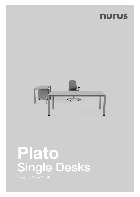# nurus



# Plato Single Desks

Design by **Nurus D Lab**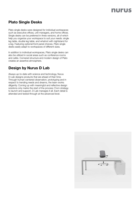## nurus

### Plato Single Desks

Plato single desks were designed for individual workspaces such as executive offices, unit managers, and home offices. Single desks can be preferred in three versions, all of which help you organize your workspace to suit your needs: single leg table, double leg table, and whatnot with nightstand for a leg. Featuring optional front panel choices, Plato single desks easily adapt to workspaces of different sizes.

In addition to individual workspaces, Plato single desks can also be utilized in social areas such as conference rooms and cafés. Cornered structure and modern design of Plato creates an assertive atmosphere.

#### Design by Nurus D Lab

Always up-to-date with science and technology, Nurus D-Lab designs products that are ahead of their time. Through human-centered observation, prototyping and in respect to trending needs and dreams, the team works diligently. Coming up with meaningful and reflective design solutions only marks the start of the process: From strategy to launch and support, D-Lab manages it all. Each detail is attended and tested through at the advanced level.

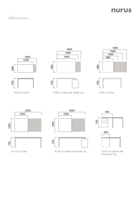

DIMENSIONS (mm)









W:60 cm Desk W:80 cm Desk with Single Leg W:80 cm Desk











W:100 cm Desk with Single Leg with Single Leg by M:60 cm Cabinet with Single Leg by M:60 cm Cabinet with





Commode Leg